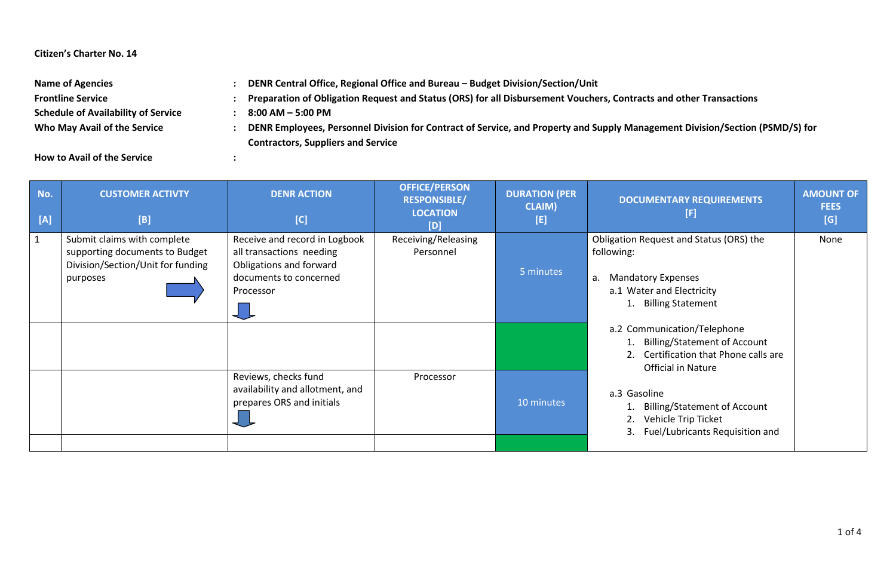## **Citizen's Charter No. 14**

| <b>Name of Agencies</b>                    | DENR Central Office, Regional Office and Bureau - Budget Division/Section/Unit                                               |  |
|--------------------------------------------|------------------------------------------------------------------------------------------------------------------------------|--|
| <b>Frontline Service</b>                   | Preparation of Obligation Request and Status (ORS) for all Disbursement Vouchers, Contracts and other Transactions           |  |
| <b>Schedule of Availability of Service</b> | $8:00$ AM $-5:00$ PM                                                                                                         |  |
| Who May Avail of the Service               | DENR Employees, Personnel Division for Contract of Service, and Property and Supply Management Division/Section (PSMD/S) for |  |
|                                            | <b>Contractors, Suppliers and Service</b>                                                                                    |  |

**How to Avail of the Service :**

| No.<br>[A] | <b>CUSTOMER ACTIVTY</b><br>[B]                                                                                 | <b>DENR ACTION</b><br>[C]                                                                                                   | <b>OFFICE/PERSON</b><br><b>RESPONSIBLE/</b><br><b>LOCATION</b><br>[D] | <b>DURATION (PER</b><br><b>CLAIM)</b><br>[E] | <b>DOCUMENTARY REQUIREMENTS</b><br>[F]                                                                                                                                                                                                                   | <b>AMOUNT OF</b><br><b>FEES</b><br>[G] |
|------------|----------------------------------------------------------------------------------------------------------------|-----------------------------------------------------------------------------------------------------------------------------|-----------------------------------------------------------------------|----------------------------------------------|----------------------------------------------------------------------------------------------------------------------------------------------------------------------------------------------------------------------------------------------------------|----------------------------------------|
|            | Submit claims with complete<br>supporting documents to Budget<br>Division/Section/Unit for funding<br>purposes | Receive and record in Logbook<br>all transactions needing<br>Obligations and forward<br>documents to concerned<br>Processor | Receiving/Releasing<br>Personnel                                      | 5 minutes                                    | Obligation Request and Status (ORS) the<br>following:<br><b>Mandatory Expenses</b><br>а.<br>a.1 Water and Electricity<br><b>Billing Statement</b>                                                                                                        | None                                   |
|            |                                                                                                                | Reviews, checks fund<br>availability and allotment, and<br>prepares ORS and initials                                        | Processor                                                             | 10 minutes                                   | a.2 Communication/Telephone<br><b>Billing/Statement of Account</b><br>2. Certification that Phone calls are<br>Official in Nature<br>a.3 Gasoline<br><b>Billing/Statement of Account</b><br>Vehicle Trip Ticket<br>Fuel/Lubricants Requisition and<br>3. |                                        |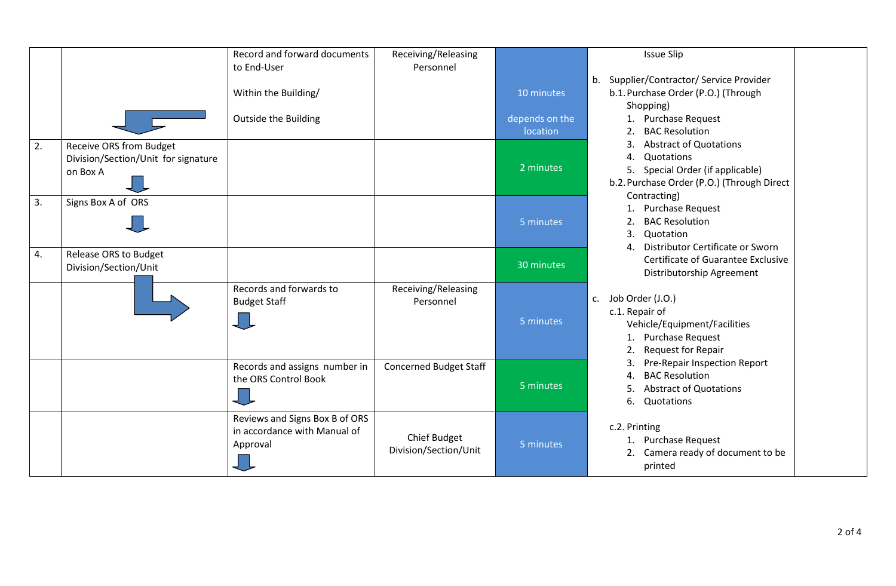|    |                                                                            | Record and forward documents<br>to End-User                                | Receiving/Releasing<br>Personnel             |                            | <b>Issue Slip</b>                                                                                                                                   |
|----|----------------------------------------------------------------------------|----------------------------------------------------------------------------|----------------------------------------------|----------------------------|-----------------------------------------------------------------------------------------------------------------------------------------------------|
|    |                                                                            | Within the Building/                                                       |                                              | 10 minutes                 | Supplier/Contractor/ Service Provider<br>b.<br>b.1. Purchase Order (P.O.) (Through<br>Shopping)                                                     |
|    |                                                                            | <b>Outside the Building</b>                                                |                                              | depends on the<br>location | 1. Purchase Request<br><b>BAC Resolution</b>                                                                                                        |
| 2. | Receive ORS from Budget<br>Division/Section/Unit for signature<br>on Box A |                                                                            |                                              | 2 minutes                  | <b>Abstract of Quotations</b><br>Quotations<br>4.<br>5. Special Order (if applicable)<br>b.2. Purchase Order (P.O.) (Through Direct<br>Contracting) |
| 3. | Signs Box A of ORS                                                         |                                                                            |                                              | 5 minutes                  | <b>Purchase Request</b><br>1.<br><b>BAC Resolution</b><br>2.<br>3.<br>Quotation<br>Distributor Certificate or Sworn<br>4.                           |
| 4. | Release ORS to Budget<br>Division/Section/Unit                             |                                                                            |                                              | 30 minutes                 | Certificate of Guarantee Exclusive<br>Distributorship Agreement                                                                                     |
|    |                                                                            | Records and forwards to<br><b>Budget Staff</b>                             | Receiving/Releasing<br>Personnel             | 5 minutes                  | c. Job Order (J.O.)<br>c.1. Repair of<br>Vehicle/Equipment/Facilities<br>1. Purchase Request<br>Request for Repair<br>2.                            |
|    |                                                                            | Records and assigns number in<br>the ORS Control Book                      | <b>Concerned Budget Staff</b>                | 5 minutes                  | Pre-Repair Inspection Report<br>3.<br><b>BAC Resolution</b><br>4.<br><b>Abstract of Quotations</b><br>Quotations<br>6.                              |
|    |                                                                            | Reviews and Signs Box B of ORS<br>in accordance with Manual of<br>Approval | <b>Chief Budget</b><br>Division/Section/Unit | 5 minutes                  | c.2. Printing<br><b>Purchase Request</b><br>1.<br>Camera ready of document to be<br>2.<br>printed                                                   |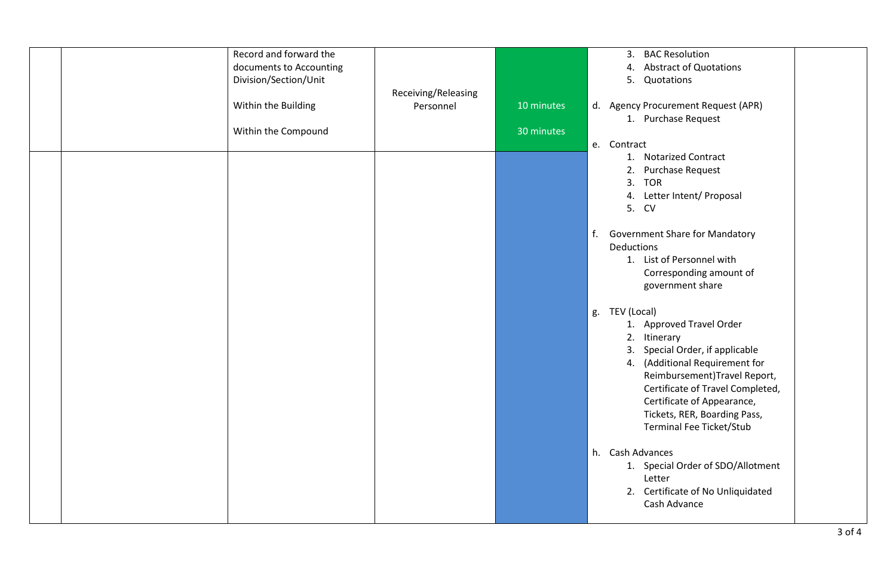|  | Record and forward the<br>documents to Accounting<br>Division/Section/Unit | Receiving/Releasing |                          | <b>BAC Resolution</b><br>3.<br><b>Abstract of Quotations</b><br>4.<br>5.<br>Quotations                                                                                                                                                                                                                  |
|--|----------------------------------------------------------------------------|---------------------|--------------------------|---------------------------------------------------------------------------------------------------------------------------------------------------------------------------------------------------------------------------------------------------------------------------------------------------------|
|  | Within the Building<br>Within the Compound                                 | Personnel           | 10 minutes<br>30 minutes | d. Agency Procurement Request (APR)<br>1. Purchase Request                                                                                                                                                                                                                                              |
|  |                                                                            |                     |                          | e. Contract<br>1. Notarized Contract<br>Purchase Request<br>2.<br>3.<br><b>TOR</b>                                                                                                                                                                                                                      |
|  |                                                                            |                     |                          | Letter Intent/ Proposal<br>4.<br>5. CV<br>f.<br><b>Government Share for Mandatory</b>                                                                                                                                                                                                                   |
|  |                                                                            |                     |                          | Deductions<br>1. List of Personnel with<br>Corresponding amount of<br>government share                                                                                                                                                                                                                  |
|  |                                                                            |                     |                          | g. TEV (Local)<br>1. Approved Travel Order<br>2. Itinerary<br>Special Order, if applicable<br>3.<br>4. (Additional Requirement for<br>Reimbursement)Travel Report,<br>Certificate of Travel Completed,<br>Certificate of Appearance,<br>Tickets, RER, Boarding Pass,<br><b>Terminal Fee Ticket/Stub</b> |
|  |                                                                            |                     |                          | h. Cash Advances<br>1. Special Order of SDO/Allotment<br>Letter<br>2. Certificate of No Unliquidated<br>Cash Advance                                                                                                                                                                                    |